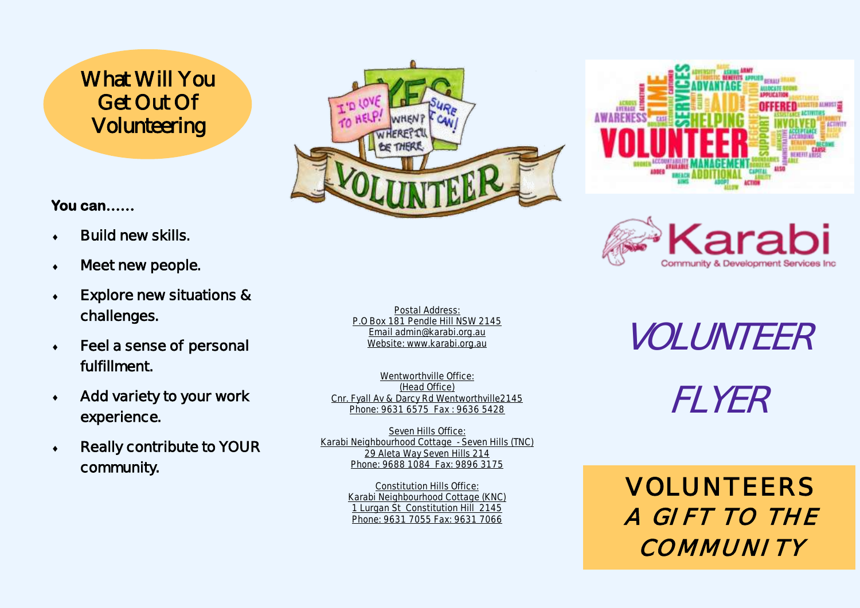## What Will You Get Out Of Volunteering

**You can……** 

- **Build new skills.**
- **Meet new people.**
- **Explore new situations & challenges.**
- **Feel a sense of personal fulfillment.**
- **Add variety to your work experience.**
- **Really contribute to YOUR community.**



Postal Address: P.O Box 181 Pendle Hill NSW 2145 Email admin@karabi.org.au Website: www.karabi.org.au

Wentworthville Office: (Head Office) Cnr. Fyall Av & Darcy Rd Wentworthville2145 Phone: 9631 6575 Fax : 9636 5428

Seven Hills Office: Karabi Neighbourhood Cottage - Seven Hills (TNC) 29 Aleta Way Seven Hills 214 Phone: 9688 1084 Fax: 9896 3175

> Constitution Hills Office: Karabi Neighbourhood Cottage (KNC) 1 Lurgan St Constitution Hill 2145 Phone: 9631 7055 Fax: 9631 7066





**VOLUNTEER** 

**FLYER**

VOLUNTEERS *A GIFT TO THE COMMUNITY*